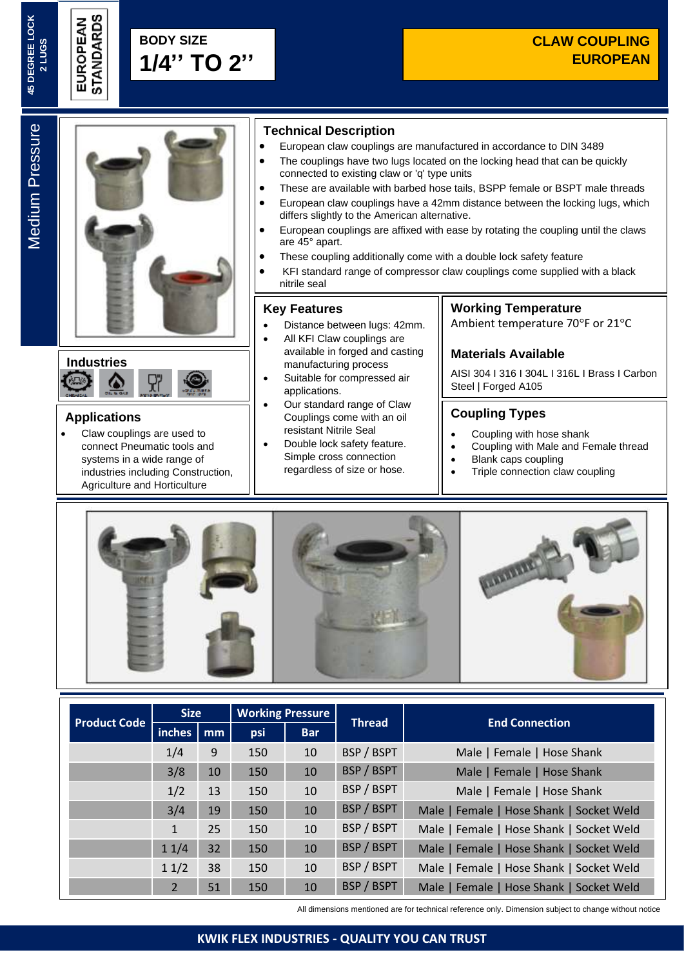Medium Pressure

**Medium Pressure** 



# **Industries** Δ

### **Applications**

• Claw couplings are used to connect Pneumatic tools and systems in a wide range of industries including Construction, Agriculture and Horticulture

### **Technical Description**

- European claw couplings are manufactured in accordance to DIN 3489
- The couplings have two lugs located on the locking head that can be quickly connected to existing claw or 'q' type units
- These are available with barbed hose tails, BSPP female or BSPT male threads
- European claw couplings have a 42mm distance between the locking lugs, which differs slightly to the American alternative.
- European couplings are affixed with ease by rotating the coupling until the claws are 45° apart.
- These coupling additionally come with a double lock safety feature
- KFI standard range of compressor claw couplings come supplied with a black nitrile seal

### **Key Features**

- Distance between lugs: 42mm.
- All KFI Claw couplings are available in forged and casting manufacturing process
- Suitable for compressed air applications.
- Our standard range of Claw Couplings come with an oil resistant Nitrile Seal
- Double lock safety feature. Simple cross connection regardless of size or hose.

## **Working Temperature**

Ambient temperature 70°F or 21°C

### **Materials Available**

AISI 304 I 316 I 304L I 316L I Brass I Carbon Steel | Forged A105

### **Coupling Types**

- Coupling with hose shank
- Coupling with Male and Female thread
- Blank caps coupling
- Triple connection claw coupling



| <b>Product Code</b> | <b>Size</b>  |    | <b>Working Pressure</b> |            | <b>Thread</b> | <b>End Connection</b>                    |
|---------------------|--------------|----|-------------------------|------------|---------------|------------------------------------------|
|                     | inches       | mm | psi                     | <b>Bar</b> |               |                                          |
|                     | 1/4          | 9  | 150                     | 10         | BSP / BSPT    | Male   Female   Hose Shank               |
|                     | 3/8          | 10 | 150                     | 10         | BSP / BSPT    | Male   Female   Hose Shank               |
|                     | 1/2          | 13 | 150                     | 10         | BSP / BSPT    | Male   Female   Hose Shank               |
|                     | 3/4          | 19 | 150                     | 10         | BSP / BSPT    | Male   Female   Hose Shank   Socket Weld |
|                     | $\mathbf{1}$ | 25 | 150                     | 10         | BSP / BSPT    | Male   Female   Hose Shank   Socket Weld |
|                     | 11/4         | 32 | 150                     | 10         | BSP / BSPT    | Male   Female   Hose Shank   Socket Weld |
|                     | 11/2         | 38 | 150                     | 10         | BSP / BSPT    | Male   Female   Hose Shank   Socket Weld |
|                     | 2            | 51 | 150                     | 10         | BSP / BSPT    | Male   Female   Hose Shank   Socket Weld |

All dimensions mentioned are for technical reference only. Dimension subject to change without notice